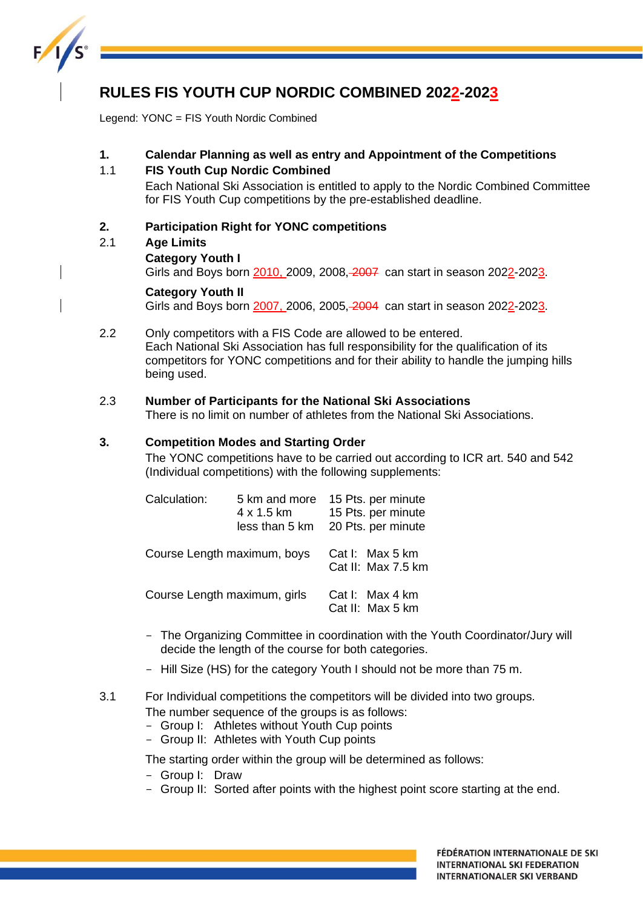

# **RULES FIS YOUTH CUP NORDIC COMBINED 2022-2023**

Legend: YONC = FIS Youth Nordic Combined

# **1. Calendar Planning as well as entry and Appointment of the Competitions**

## 1.1 **FIS Youth Cup Nordic Combined**

Each National Ski Association is entitled to apply to the Nordic Combined Committee for FIS Youth Cup competitions by the pre-established deadline.

# **2. Participation Right for YONC competitions**

# 2.1 **Age Limits**

## **Category Youth I**

Girls and Boys born 2010, 2009, 2008, 2007 can start in season 2022-2023.

## **Category Youth II**

Girls and Boys born 2007, 2006, 2005, 2004 can start in season 2022-2023.

2.2 Only competitors with a FIS Code are allowed to be entered. Each National Ski Association has full responsibility for the qualification of its competitors for YONC competitions and for their ability to handle the jumping hills being used.

# 2.3 **Number of Participants for the National Ski Associations**

There is no limit on number of athletes from the National Ski Associations.

#### **3. Competition Modes and Starting Order**

The YONC competitions have to be carried out according to ICR art. 540 and 542 (Individual competitions) with the following supplements:

| Calculation:                | 5 km and more<br>4 x 1.5 km<br>less than 5 km | 15 Pts. per minute<br>15 Pts. per minute<br>20 Pts. per minute |
|-----------------------------|-----------------------------------------------|----------------------------------------------------------------|
| Course Length maximum, boys | Cat I: Max 5 km<br>Cat II: Max 7.5 km         |                                                                |
|                             | Course Length maximum, girls                  | Cat I: Max 4 km<br>Cat II: Max 5 km                            |

- The Organizing Committee in coordination with the Youth Coordinator/Jury will decide the length of the course for both categories.
- Hill Size (HS) for the category Youth I should not be more than 75 m.

## 3.1 For Individual competitions the competitors will be divided into two groups. The number sequence of the groups is as follows:

- Group I: Athletes without Youth Cup points
- Group II: Athletes with Youth Cup points

The starting order within the group will be determined as follows:

- Group I: Draw
- Group II: Sorted after points with the highest point score starting at the end.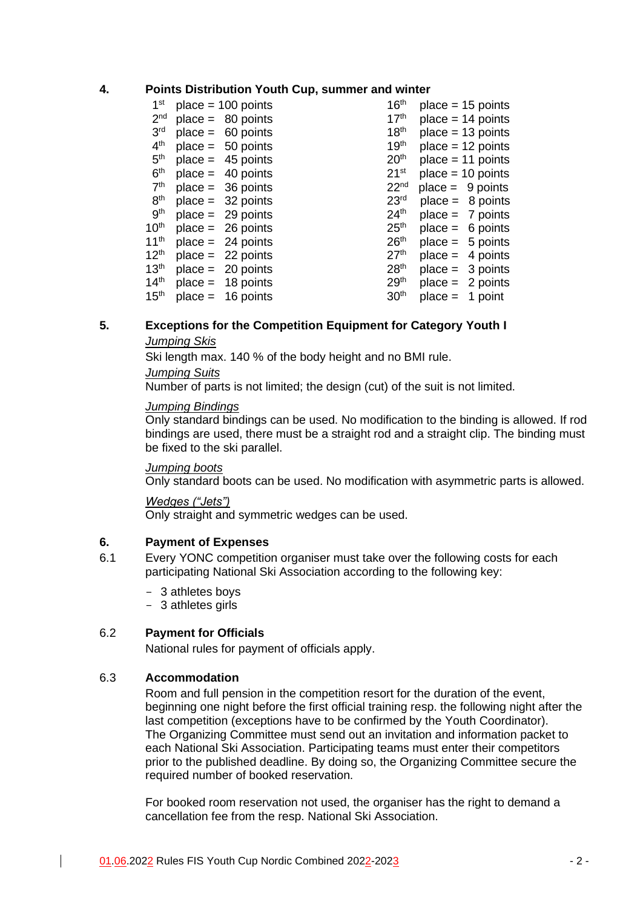#### **4. Points Distribution Youth Cup, summer and winter**

| 1 <sup>st</sup>  | $place = 100 points$ | 16 <sup>th</sup> |           | $place = 15 points$ |
|------------------|----------------------|------------------|-----------|---------------------|
| 2 <sub>nd</sub>  | $place = 80 points$  | 17 <sup>th</sup> |           | $place = 14 points$ |
| 3 <sup>rd</sup>  | $place = 60 points$  | 18 <sup>th</sup> |           | $place = 13 points$ |
| 4 <sup>th</sup>  | $place = 50 points$  | 19 <sup>th</sup> |           | $place = 12 points$ |
| 5 <sup>th</sup>  | $place = 45 points$  | 20 <sup>th</sup> |           | $place = 11 points$ |
| 6 <sup>th</sup>  | $place = 40 points$  | 21 <sup>st</sup> |           | $place = 10 points$ |
| 7 <sup>th</sup>  | $place = 36 points$  | 22 <sup>nd</sup> |           | $place = 9 points$  |
| 8 <sup>th</sup>  | $place = 32 points$  | 23 <sup>rd</sup> |           | $place = 8 points$  |
| 9 <sup>th</sup>  | $place = 29 points$  | 24 <sup>th</sup> |           | $place = 7 points$  |
| 10 <sup>th</sup> | $place = 26 points$  | 25 <sup>th</sup> |           | $place = 6 points$  |
| 11 <sup>th</sup> | $place = 24 points$  | 26 <sup>th</sup> |           | $place = 5 points$  |
| 12 <sup>th</sup> | $place = 22 points$  | 27 <sup>th</sup> | $place =$ | 4 points            |
| 13 <sup>th</sup> | $place = 20 points$  | 28 <sup>th</sup> |           | $place = 3 points$  |
| 14 <sup>th</sup> | $place = 18 points$  | 29 <sup>th</sup> |           | $place = 2 points$  |
| 15 <sup>th</sup> | $place = 16 points$  | 30 <sup>th</sup> | $place =$ | 1 point             |
|                  |                      |                  |           |                     |

#### **5. Exceptions for the Competition Equipment for Category Youth I** *Jumping Skis*

Ski length max. 140 % of the body height and no BMI rule. *Jumping Suits*

Number of parts is not limited; the design (cut) of the suit is not limited.

#### *Jumping Bindings*

Only standard bindings can be used. No modification to the binding is allowed. If rod bindings are used, there must be a straight rod and a straight clip. The binding must be fixed to the ski parallel.

## *Jumping boots*

Only standard boots can be used. No modification with asymmetric parts is allowed.

#### *Wedges ("Jets")*

Only straight and symmetric wedges can be used.

## **6. Payment of Expenses**

- 6.1 Every YONC competition organiser must take over the following costs for each participating National Ski Association according to the following key:
	- 3 athletes boys
	- 3 athletes girls

## 6.2 **Payment for Officials**

National rules for payment of officials apply.

# 6.3 **Accommodation**

Room and full pension in the competition resort for the duration of the event, beginning one night before the first official training resp. the following night after the last competition (exceptions have to be confirmed by the Youth Coordinator). The Organizing Committee must send out an invitation and information packet to each National Ski Association. Participating teams must enter their competitors prior to the published deadline. By doing so, the Organizing Committee secure the required number of booked reservation.

For booked room reservation not used, the organiser has the right to demand a cancellation fee from the resp. National Ski Association.